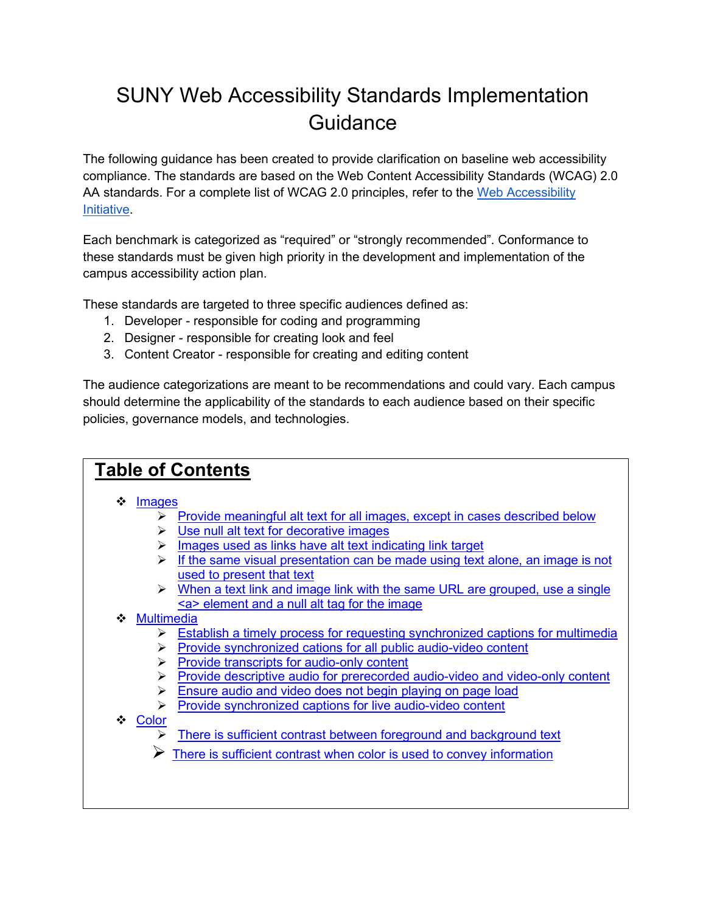# SUNY Web Accessibility Standards Implementation **Guidance**

The following guidance has been created to provide clarification on baseline web accessibility compliance. The standards are based on the Web Content Accessibility Standards (WCAG) 2.0 AA standards. For a complete list of WCAG 2.0 principles, refer to the Web Accessibility [Initiative.](https://www.w3.org/WAI/standards-guidelines/wcag/)

Each benchmark is categorized as "required" or "strongly recommended". Conformance to these standards must be given high priority in the development and implementation of the campus accessibility action plan.

These standards are targeted to three specific audiences defined as:

- 1. Developer responsible for coding and programming
- 2. Designer responsible for creating look and feel
- 3. Content Creator responsible for creating and editing content

The audience categorizations are meant to be recommendations and could vary. Each campus should determine the applicability of the standards to each audience based on their specific policies, governance models, and technologies.

| <b>Table of Contents</b>                                                                                                                         |  |
|--------------------------------------------------------------------------------------------------------------------------------------------------|--|
| ❖<br>Images                                                                                                                                      |  |
| Provide meaningful alt text for all images, except in cases described below<br>➤<br>Use null alt text for decorative images<br>➤                 |  |
| Images used as links have alt text indicating link target<br>➤                                                                                   |  |
| $\triangleright$ If the same visual presentation can be made using text alone, an image is not<br>used to present that text                      |  |
| $\triangleright$ When a text link and image link with the same URL are grouped, use a single<br><a> element and a null alt tag for the image</a> |  |
| ❖ Multimedia                                                                                                                                     |  |
| Establish a timely process for requesting synchronized captions for multimedia<br>➤                                                              |  |
| Provide synchronized cations for all public audio-video content<br>➤<br>Provide transcripts for audio-only content<br>➤                          |  |
| Provide descriptive audio for prerecorded audio-video and video-only content<br>⋗                                                                |  |
| Ensure audio and video does not begin playing on page load<br>➤                                                                                  |  |
| Provide synchronized captions for live audio-video content<br>➤                                                                                  |  |
| ❖ Color<br>There is sufficient contrast between foreground and background text                                                                   |  |
| There is sufficient contrast when color is used to convey information                                                                            |  |
|                                                                                                                                                  |  |
|                                                                                                                                                  |  |
|                                                                                                                                                  |  |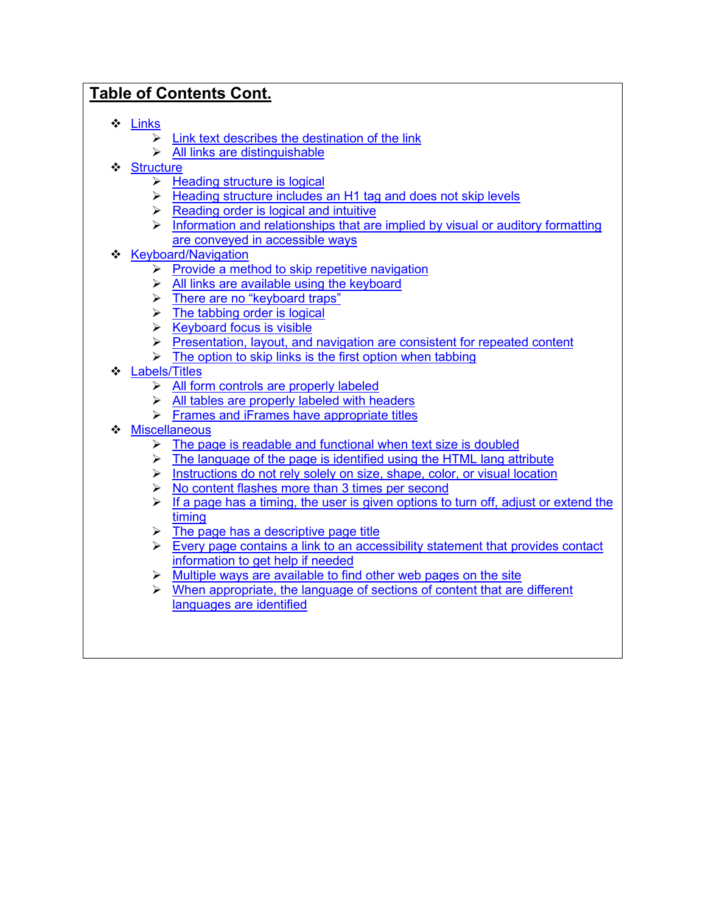# **Table of Contents Cont.**

- [Links](#page-11-0)
	- $\triangleright$  [Link text describes the destination of the link](#page-11-1)
	- $\triangleright$  [All links are distinguishable](#page-11-2)
- [Structure](#page-12-0)
	- $\triangleright$  [Heading structure is logical](#page-12-1)
	- $\triangleright$  Heading structure includes [an H1 tag and does not skip levels](#page-12-2)
	- $\triangleright$  [Reading order is logical and intuitive](#page-12-3)
	- $\triangleright$  Information and relationships that [are implied by visual or auditory](#page-13-0) formatting [are conveyed in accessible ways](#page-13-0)
- ❖ [Keyboard/Navigation](#page-14-0)
	- $\triangleright$  [Provide a method to skip repetitive navigation](#page-14-1)
	- $\triangleright$  [All links are available using](#page-14-2) the keyboard
	- > [There are no "keyboard traps"](#page-15-0)
	- $\triangleright$  [The tabbing order is logical](#page-15-1)
	- $\triangleright$  [Keyboard focus is visible](#page-15-2)
	- $\triangleright$  [Presentation, layout, and navigation are consistent for repeated content](#page-16-0)
	- $\triangleright$  [The option to skip links is the first option when tabbing](#page-16-1)
- ❖ **[Labels/Titles](#page-18-0)** 
	- $\triangleright$  [All form controls are properly labeled](#page-18-1)
	- $\triangleright$  [All tables are properly labeled with headers](#page-18-2)
	- $\triangleright$  Frames and [iFrames have appropriate](#page-18-3) titles
- ❖ [Miscellaneous](#page-20-0)
	- The page [is readable and functional when text size is doubled](#page-20-1)
	- $\triangleright$  [The language of the page is identified using](#page-20-2) the HTML lang attribute
	- $\triangleright$  [Instructions do not rely solely on size, shape, color, or visual location](#page-20-3)
	- $\triangleright$  [No content flashes more than 3 times per](#page-20-4) second
	- $\triangleright$  If a page has a timing, the user is given options to turn off, adjust or extend the [timing](#page-21-0)
	- $\triangleright$  The page [has a descriptive page title](#page-21-1)
	- $\triangleright$  [Every page contains a link to an accessibility](#page-22-0) statement that provides contact [information to get help if needed](#page-22-0)
	- $\triangleright$  Multiple ways are available [to find other web pages on the site](#page-22-1)
	- $\triangleright$  When appropriate, the language of sections of content that are different [languages are identified](#page-22-2)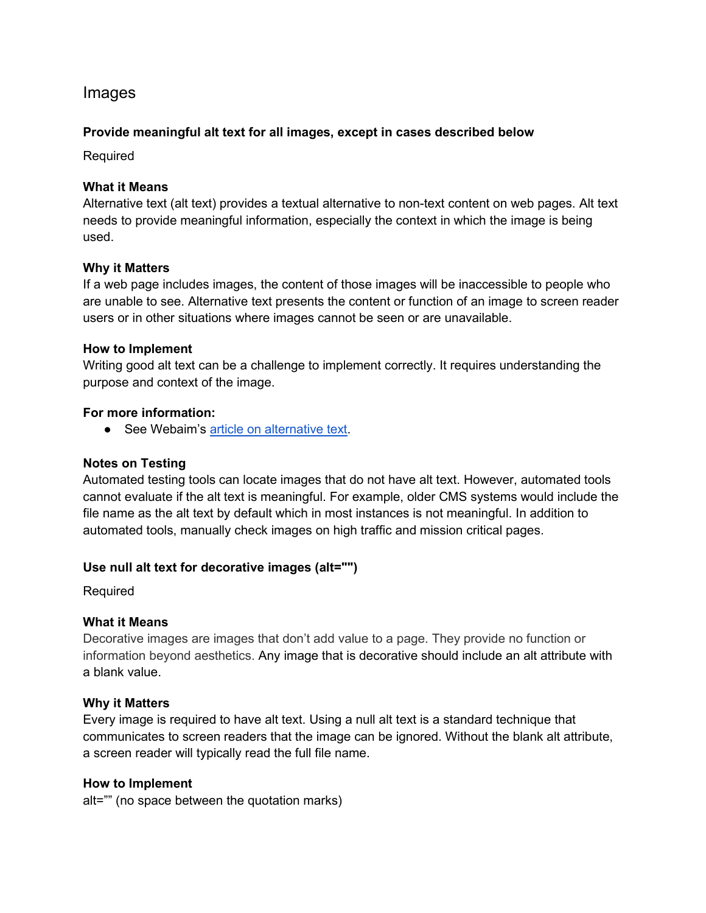# <span id="page-2-0"></span>Images

# <span id="page-2-1"></span>**Provide meaningful alt text for all images, except in cases described below**

Required

# **What it Means**

Alternative text (alt text) provides a textual alternative to non-text content on web pages. Alt text needs to provide meaningful information, especially the context in which the image is being used.

#### **Why it Matters**

If a web page includes images, the content of those images will be inaccessible to people who are unable to see. Alternative text presents the content or function of an image to screen reader users or in other situations where images cannot be seen or are unavailable.

#### **How to Implement**

Writing good alt text can be a challenge to implement correctly. It requires understanding the purpose and context of the image.

#### **For more information:**

● See Webaim's [article on alternative text.](https://webaim.org/techniques/alttext/)

# **Notes on Testing**

Automated testing tools can locate images that do not have alt text. However, automated tools cannot evaluate if the alt text is meaningful. For example, older CMS systems would include the file name as the alt text by default which in most instances is not meaningful. In addition to automated tools, manually check images on high traffic and mission critical pages.

# <span id="page-2-2"></span>**Use null alt text for decorative images (alt="")**

**Required** 

# **What it Means**

Decorative images are images that don't add value to a page. They provide no function or information beyond aesthetics. Any image that is decorative should include an alt attribute with a blank value.

#### **Why it Matters**

Every image is required to have alt text. Using a null alt text is a standard technique that communicates to screen readers that the image can be ignored. Without the blank alt attribute, a screen reader will typically read the full file name.

#### **How to Implement**

alt="" (no space between the quotation marks)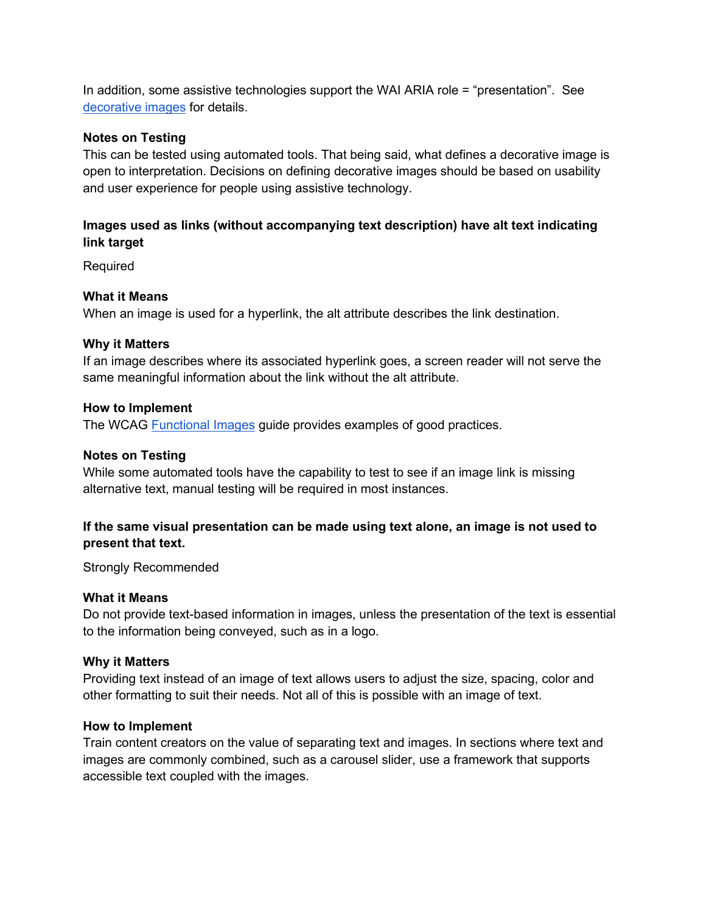In addition, some assistive technologies support the WAI ARIA role = "presentation". See [decorative images](https://www.w3.org/WAI/tutorials/images/decorative) for details.

# **Notes on Testing**

This can be tested using automated tools. That being said, what defines a decorative image is open to interpretation. Decisions on defining decorative images should be based on usability and user experience for people using assistive technology.

# <span id="page-3-0"></span>**Images used as links (without accompanying text description) have alt text indicating link target**

Required

#### **What it Means**

When an image is used for a hyperlink, the alt attribute describes the link destination.

#### **Why it Matters**

If an image describes where its associated hyperlink goes, a screen reader will not serve the same meaningful information about the link without the alt attribute.

#### **How to Implement**

The WCAG [Functional Images](https://www.w3.org/TR/UNDERSTANDING-WCAG20/navigation-mechanisms-refs.html) guide provides examples of good practices.

#### **Notes on Testing**

While some automated tools have the capability to test to see if an image link is missing alternative text, manual testing will be required in most instances.

# <span id="page-3-1"></span>**If the same visual presentation can be made using text alone, an image is not used to present that text.**

Strongly Recommended

#### **What it Means**

Do not provide text-based information in images, unless the presentation of the text is essential to the information being conveyed, such as in a logo.

#### **Why it Matters**

Providing text instead of an image of text allows users to adjust the size, spacing, color and other formatting to suit their needs. Not all of this is possible with an image of text.

#### **How to Implement**

Train content creators on the value of separating text and images. In sections where text and images are commonly combined, such as a carousel slider, use a framework that supports accessible text coupled with the images.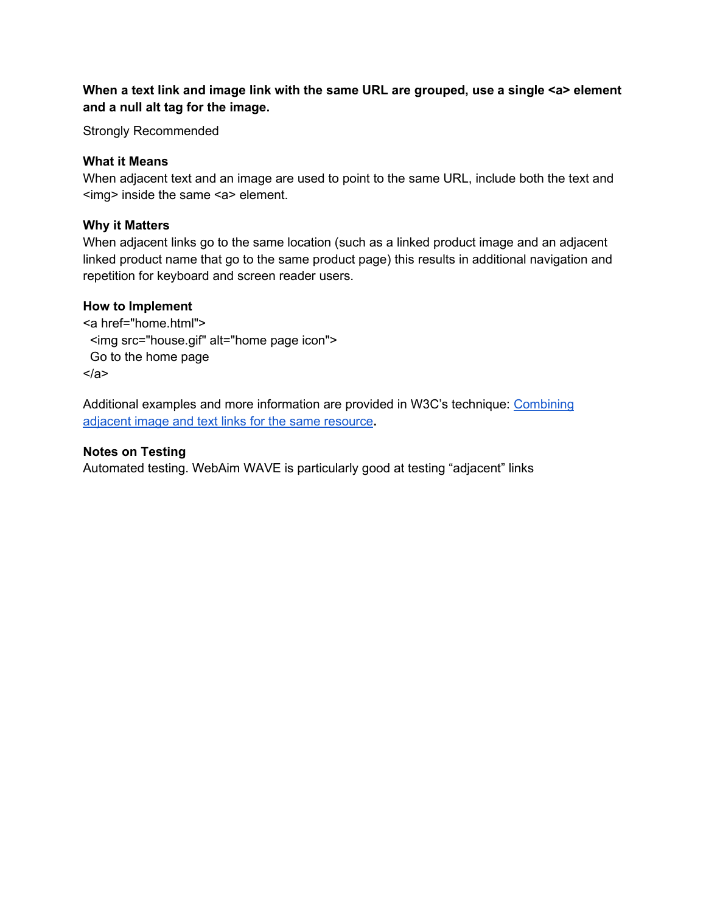# <span id="page-4-0"></span>**When a text link and image link with the same URL are grouped, use a single <a> element and a null alt tag for the image.**

Strongly Recommended

# **What it Means**

When adjacent text and an image are used to point to the same URL, include both the text and <img> inside the same <a> element.

# **Why it Matters**

When adjacent links go to the same location (such as a linked product image and an adjacent linked product name that go to the same product page) this results in additional navigation and repetition for keyboard and screen reader users.

# **How to Implement**

<a href="home.html"> <img src="house.gif" alt="home page icon"> Go to the home page </a>

Additional examples and more information are provided in W3C's technique: Combining [adjacent image and text links for the same resource](https://www.w3.org/TR/WCAG20-TECHS/H2.html)**.**

# **Notes on Testing**

Automated testing. WebAim WAVE is particularly good at testing "adjacent" links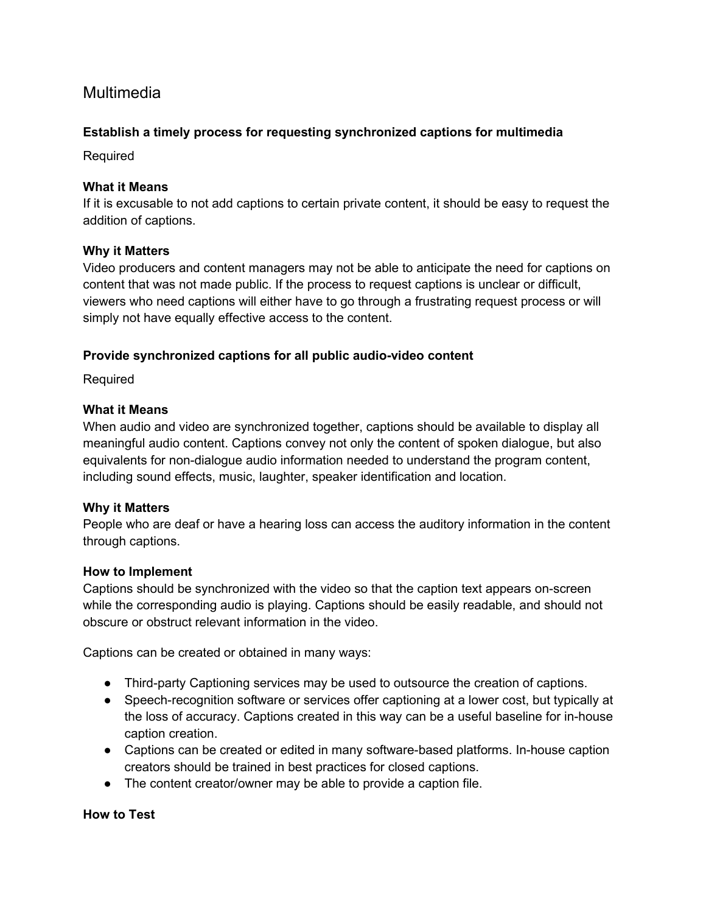# <span id="page-5-0"></span>Multimedia

# <span id="page-5-1"></span>**Establish a timely process for requesting synchronized captions for multimedia**

Required

# **What it Means**

If it is excusable to not add captions to certain private content, it should be easy to request the addition of captions.

# **Why it Matters**

Video producers and content managers may not be able to anticipate the need for captions on content that was not made public. If the process to request captions is unclear or difficult, viewers who need captions will either have to go through a frustrating request process or will simply not have equally effective access to the content.

# <span id="page-5-2"></span>**Provide synchronized captions for all public audio-video content**

Required

# **What it Means**

When audio and video are synchronized together, captions should be available to display all meaningful audio content. Captions convey not only the content of spoken dialogue, but also equivalents for non-dialogue audio information needed to understand the program content, including sound effects, music, laughter, speaker identification and location.

# **Why it Matters**

People who are deaf or have a hearing loss can access the auditory information in the content through captions.

# **How to Implement**

Captions should be synchronized with the video so that the caption text appears on-screen while the corresponding audio is playing. Captions should be easily readable, and should not obscure or obstruct relevant information in the video.

Captions can be created or obtained in many ways:

- Third-party Captioning services may be used to outsource the creation of captions.
- Speech-recognition software or services offer captioning at a lower cost, but typically at the loss of accuracy. Captions created in this way can be a useful baseline for in-house caption creation.
- Captions can be created or edited in many software-based platforms. In-house caption creators should be trained in best practices for closed captions.
- The content creator/owner may be able to provide a caption file.

# **How to Test**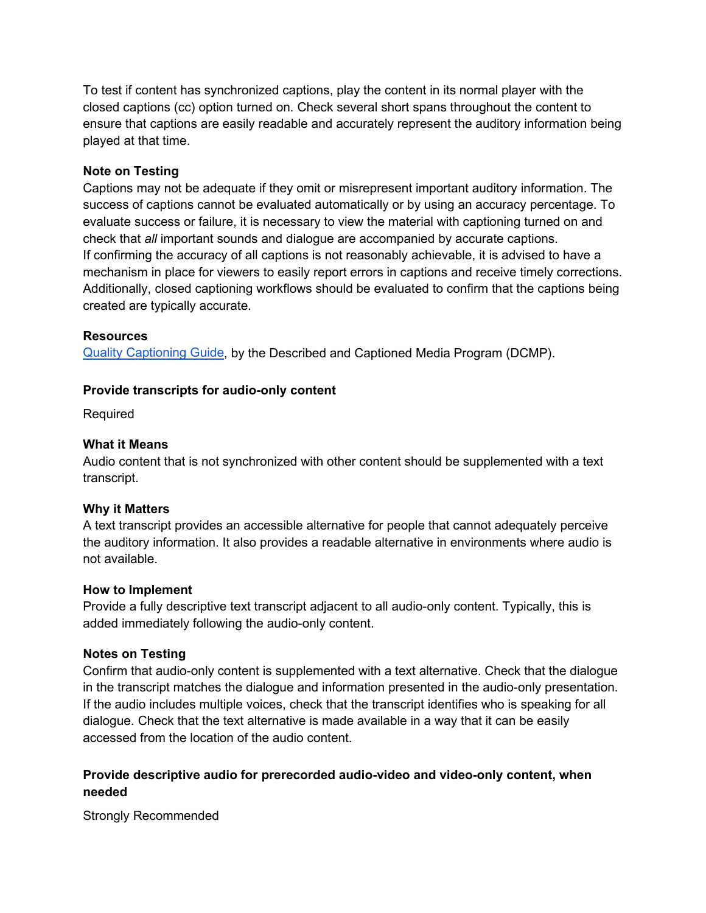To test if content has synchronized captions, play the content in its normal player with the closed captions (cc) option turned on. Check several short spans throughout the content to ensure that captions are easily readable and accurately represent the auditory information being played at that time.

# **Note on Testing**

Captions may not be adequate if they omit or misrepresent important auditory information. The success of captions cannot be evaluated automatically or by using an accuracy percentage. To evaluate success or failure, it is necessary to view the material with captioning turned on and check that *all* important sounds and dialogue are accompanied by accurate captions. If confirming the accuracy of all captions is not reasonably achievable, it is advised to have a mechanism in place for viewers to easily report errors in captions and receive timely corrections. Additionally, closed captioning workflows should be evaluated to confirm that the captions being created are typically accurate.

# **Resources**

<span id="page-6-0"></span>[Quality Captioning Guide,](http://www.captioningkey.org/) by the Described and Captioned Media Program (DCMP).

# **Provide transcripts for audio-only content**

Required

# **What it Means**

Audio content that is not synchronized with other content should be supplemented with a text transcript.

# **Why it Matters**

A text transcript provides an accessible alternative for people that cannot adequately perceive the auditory information. It also provides a readable alternative in environments where audio is not available.

# **How to Implement**

Provide a fully descriptive text transcript adjacent to all audio-only content. Typically, this is added immediately following the audio-only content.

# **Notes on Testing**

Confirm that audio-only content is supplemented with a text alternative. Check that the dialogue in the transcript matches the dialogue and information presented in the audio-only presentation. If the audio includes multiple voices, check that the transcript identifies who is speaking for all dialogue. Check that the text alternative is made available in a way that it can be easily accessed from the location of the audio content.

# <span id="page-6-1"></span>**Provide descriptive audio for prerecorded audio-video and video-only content, when needed**

Strongly Recommended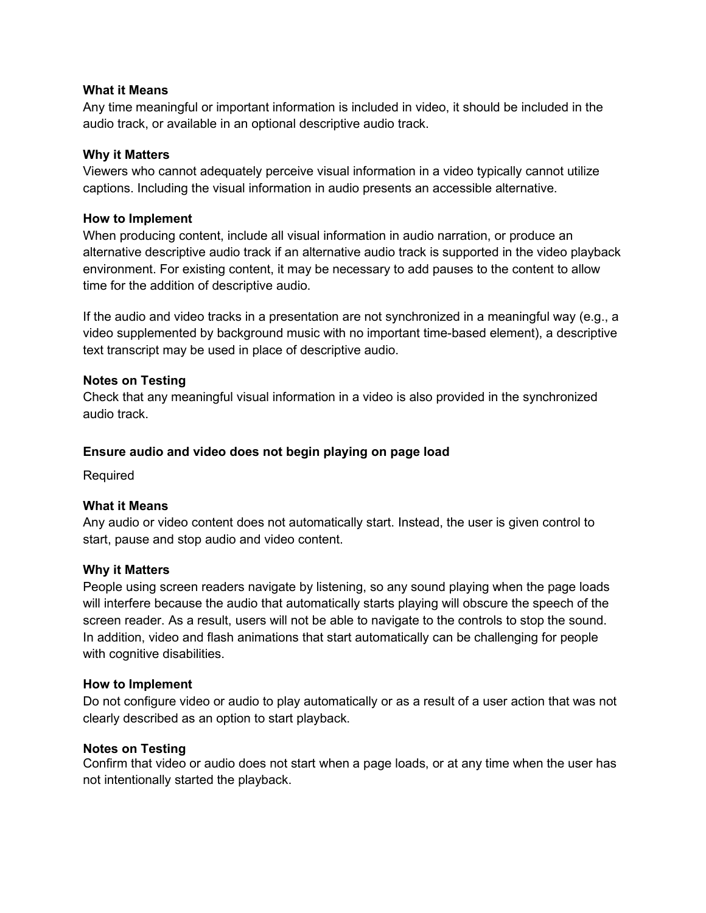# **What it Means**

Any time meaningful or important information is included in video, it should be included in the audio track, or available in an optional descriptive audio track.

# **Why it Matters**

Viewers who cannot adequately perceive visual information in a video typically cannot utilize captions. Including the visual information in audio presents an accessible alternative.

#### **How to Implement**

When producing content, include all visual information in audio narration, or produce an alternative descriptive audio track if an alternative audio track is supported in the video playback environment. For existing content, it may be necessary to add pauses to the content to allow time for the addition of descriptive audio.

If the audio and video tracks in a presentation are not synchronized in a meaningful way (e.g., a video supplemented by background music with no important time-based element), a descriptive text transcript may be used in place of descriptive audio.

#### **Notes on Testing**

Check that any meaningful visual information in a video is also provided in the synchronized audio track.

# <span id="page-7-0"></span>**Ensure audio and video does not begin playing on page load**

Required

#### **What it Means**

Any audio or video content does not automatically start. Instead, the user is given control to start, pause and stop audio and video content.

#### **Why it Matters**

People using screen readers navigate by listening, so any sound playing when the page loads will interfere because the audio that automatically starts playing will obscure the speech of the screen reader. As a result, users will not be able to navigate to the controls to stop the sound. In addition, video and flash animations that start automatically can be challenging for people with cognitive disabilities.

#### **How to Implement**

Do not configure video or audio to play automatically or as a result of a user action that was not clearly described as an option to start playback.

#### **Notes on Testing**

Confirm that video or audio does not start when a page loads, or at any time when the user has not intentionally started the playback.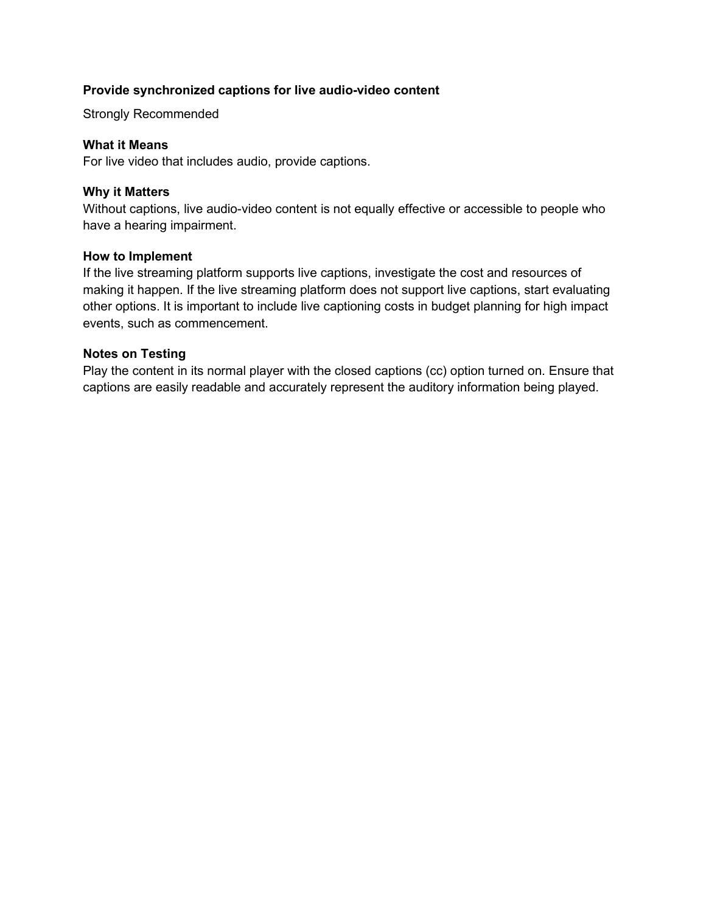# <span id="page-8-0"></span>**Provide synchronized captions for live audio-video content**

Strongly Recommended

#### **What it Means**

For live video that includes audio, provide captions.

### **Why it Matters**

Without captions, live audio-video content is not equally effective or accessible to people who have a hearing impairment.

#### **How to Implement**

If the live streaming platform supports live captions, investigate the cost and resources of making it happen. If the live streaming platform does not support live captions, start evaluating other options. It is important to include live captioning costs in budget planning for high impact events, such as commencement.

# **Notes on Testing**

Play the content in its normal player with the closed captions (cc) option turned on. Ensure that captions are easily readable and accurately represent the auditory information being played.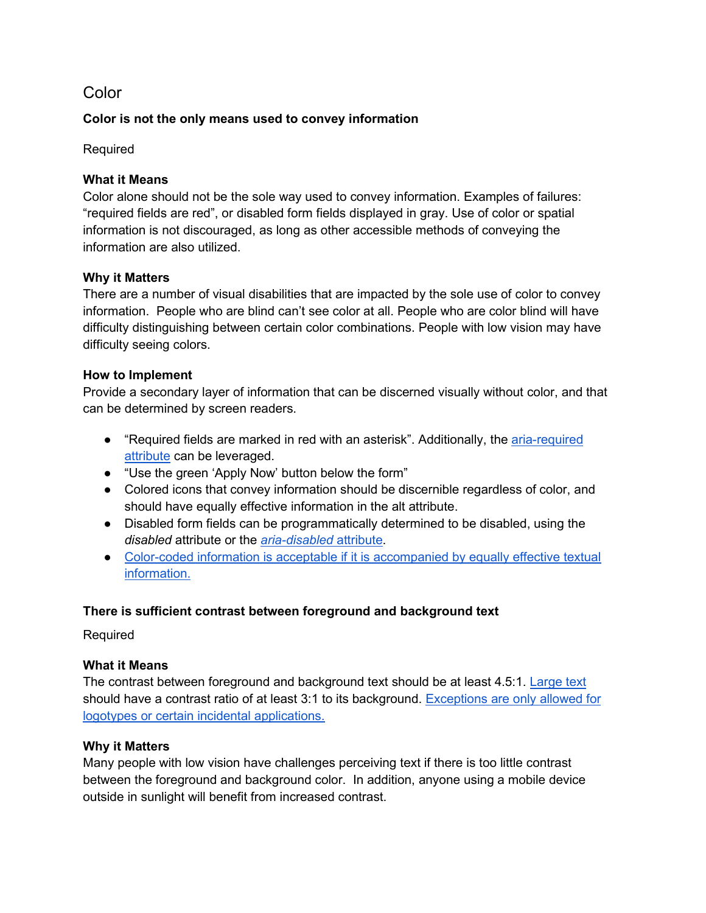# <span id="page-9-0"></span>**Color**

# **Color is not the only means used to convey information**

Required

# **What it Means**

Color alone should not be the sole way used to convey information. Examples of failures: "required fields are red", or disabled form fields displayed in gray. Use of color or spatial information is not discouraged, as long as other accessible methods of conveying the information are also utilized.

# **Why it Matters**

There are a number of visual disabilities that are impacted by the sole use of color to convey information. People who are blind can't see color at all. People who are color blind will have difficulty distinguishing between certain color combinations. People with low vision may have difficulty seeing colors.

# **How to Implement**

Provide a secondary layer of information that can be discerned visually without color, and that can be determined by screen readers.

- "Required fields are marked in red with an asterisk". Additionally, the aria-required [attribute](https://developer.mozilla.org/en-US/docs/Web/Accessibility/ARIA/ARIA_Techniques/Using_the_aria-required_attribute) can be leveraged.
- "Use the green 'Apply Now' button below the form"
- Colored icons that convey information should be discernible regardless of color, and should have equally effective information in the alt attribute.
- Disabled form fields can be programmatically determined to be disabled, using the *disabled* attribute or the *[aria-disabled](https://www.w3.org/TR/wai-aria/#aria-disabled)* [attribute.](https://www.w3.org/TR/wai-aria/#aria-disabled)
- Color-coded information is acceptable if it is accompanied by equally effective textual [information.](https://www.w3.org/WAI/GL/2016/WD-WCAG20-TECHS-20160105/G14)

# <span id="page-9-1"></span>**There is sufficient contrast between foreground and background text**

Required

# **What it Means**

The contrast between foreground and background text should be at least 4.5:1. [Large text](https://www.w3.org/TR/UNDERSTANDING-WCAG20/visual-audio-contrast-contrast.html#larger-scaledef) should have a contrast ratio of at least 3:1 to its background. [Exceptions are only allowed for](https://www.w3.org/TR/UNDERSTANDING-WCAG20/visual-audio-contrast-contrast.html)  [logotypes or certain incidental applications.](https://www.w3.org/TR/UNDERSTANDING-WCAG20/visual-audio-contrast-contrast.html)

# **Why it Matters**

Many people with low vision have challenges perceiving text if there is too little contrast between the foreground and background color. In addition, anyone using a mobile device outside in sunlight will benefit from increased contrast.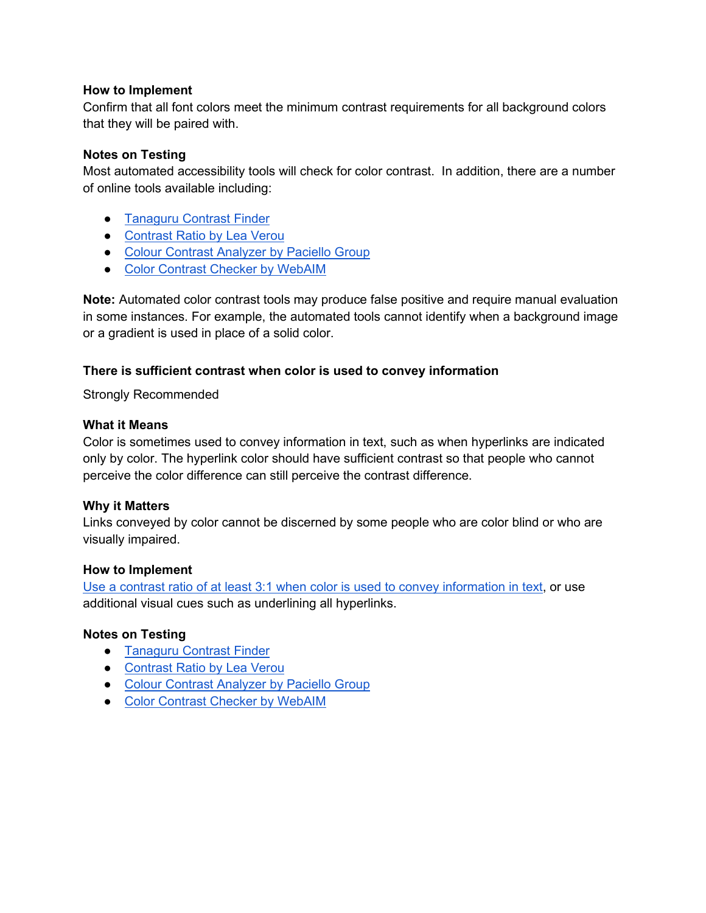# **How to Implement**

Confirm that all font colors meet the minimum contrast requirements for all background colors that they will be paired with.

### **Notes on Testing**

Most automated accessibility tools will check for color contrast. In addition, there are a number of online tools available including:

- [Tanaguru Contrast Finder](http://contrast-finder.tanaguru.com/)
- [Contrast Ratio by Lea Verou](https://leaverou.github.io/contrast-ratio/)
- [Colour Contrast Analyzer by Paciello Group](https://www.paciellogroup.com/resources/contrastanalyser/)
- [Color Contrast Checker by WebAIM](http://webaim.org/resources/contrastchecker/)

**Note:** Automated color contrast tools may produce false positive and require manual evaluation in some instances. For example, the automated tools cannot identify when a background image or a gradient is used in place of a solid color.

# <span id="page-10-0"></span>**There is sufficient contrast when color is used to convey information**

Strongly Recommended

#### **What it Means**

Color is sometimes used to convey information in text, such as when hyperlinks are indicated only by color. The hyperlink color should have sufficient contrast so that people who cannot perceive the color difference can still perceive the contrast difference.

#### **Why it Matters**

Links conveyed by color cannot be discerned by some people who are color blind or who are visually impaired.

#### **How to Implement**

[Use a contrast ratio of at least 3:1 when color is used to convey information in text,](https://www.w3.org/TR/2016/NOTE-WCAG20-TECHS-20161007/G183) or use additional visual cues such as underlining all hyperlinks.

# **Notes on Testing**

- [Tanaguru Contrast Finder](http://contrast-finder.tanaguru.com/)
- [Contrast Ratio by Lea Verou](https://leaverou.github.io/contrast-ratio/)
- [Colour Contrast Analyzer by Paciello Group](https://www.paciellogroup.com/resources/contrastanalyser/)
- [Color Contrast Checker by WebAIM](http://webaim.org/resources/contrastchecker/)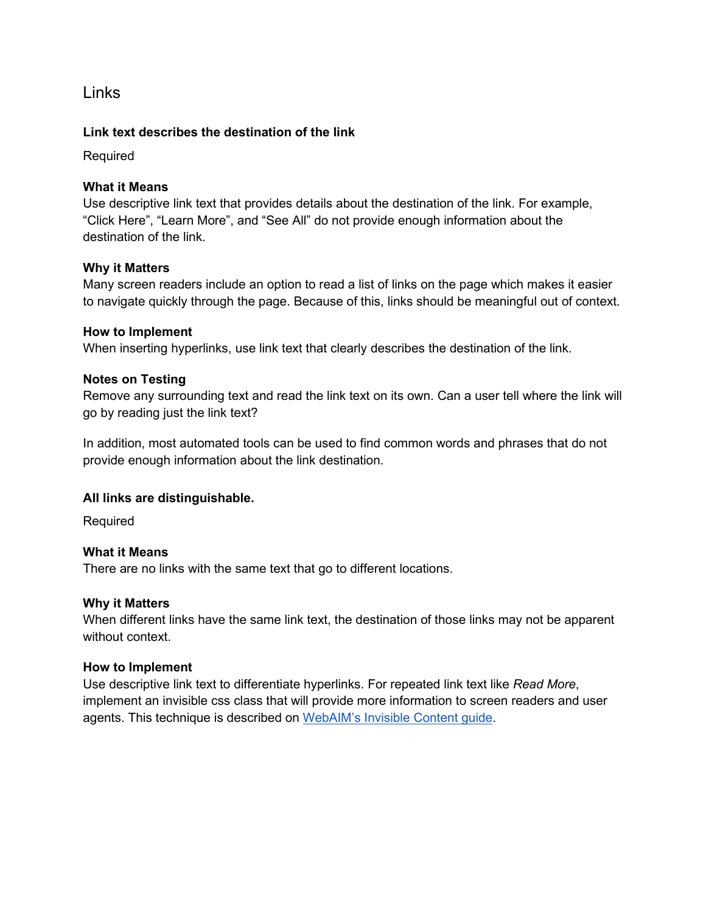<span id="page-11-0"></span>Links

# <span id="page-11-1"></span>**Link text describes the destination of the link**

Required

# **What it Means**

Use descriptive link text that provides details about the destination of the link. For example, "Click Here", "Learn More", and "See All" do not provide enough information about the destination of the link.

# **Why it Matters**

Many screen readers include an option to read a list of links on the page which makes it easier to navigate quickly through the page. Because of this, links should be meaningful out of context.

# **How to Implement**

When inserting hyperlinks, use link text that clearly describes the destination of the link.

# **Notes on Testing**

Remove any surrounding text and read the link text on its own. Can a user tell where the link will go by reading just the link text?

In addition, most automated tools can be used to find common words and phrases that do not provide enough information about the link destination.

# <span id="page-11-2"></span>**All links are distinguishable.**

Required

# **What it Means**

There are no links with the same text that go to different locations.

# **Why it Matters**

When different links have the same link text, the destination of those links may not be apparent without context

#### **How to Implement**

Use descriptive link text to differentiate hyperlinks. For repeated link text like *Read More*, implement an invisible css class that will provide more information to screen readers and user agents. This technique is described on [WebAIM's Invisible Content guide.](https://webaim.org/techniques/css/invisiblecontent/)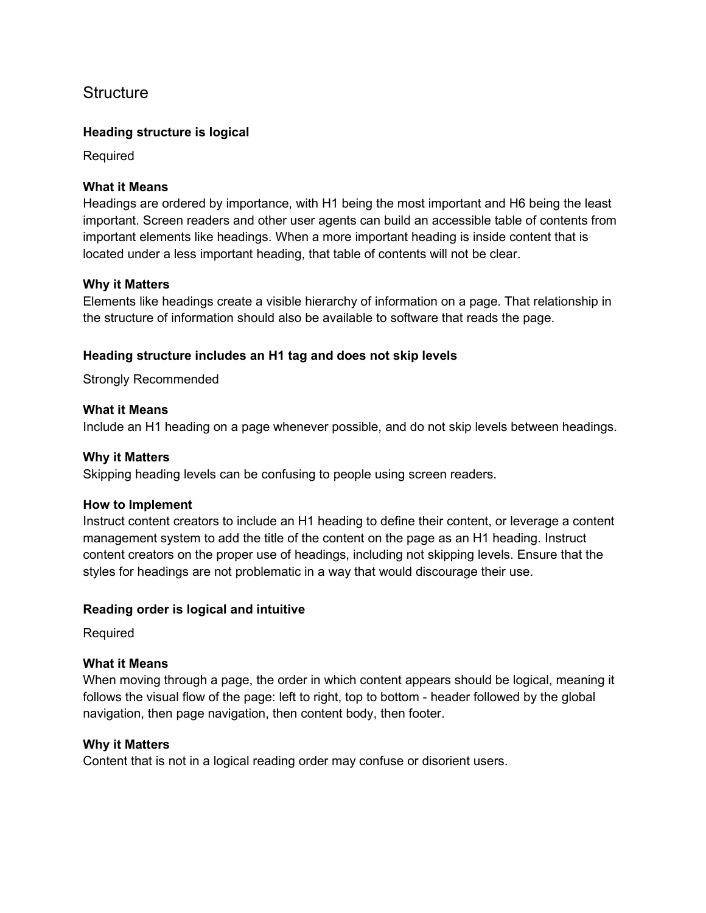# <span id="page-12-0"></span>**Structure**

# <span id="page-12-1"></span>**Heading structure is logical**

Required

### **What it Means**

Headings are ordered by importance, with H1 being the most important and H6 being the least important. Screen readers and other user agents can build an accessible table of contents from important elements like headings. When a more important heading is inside content that is located under a less important heading, that table of contents will not be clear.

#### **Why it Matters**

Elements like headings create a visible hierarchy of information on a page. That relationship in the structure of information should also be available to software that reads the page.

# <span id="page-12-2"></span>**Heading structure includes an H1 tag and does not skip levels**

Strongly Recommended

#### **What it Means**

Include an H1 heading on a page whenever possible, and do not skip levels between headings.

### **Why it Matters**

Skipping heading levels can be confusing to people using screen readers.

#### **How to Implement**

Instruct content creators to include an H1 heading to define their content, or leverage a content management system to add the title of the content on the page as an H1 heading. Instruct content creators on the proper use of headings, including not skipping levels. Ensure that the styles for headings are not problematic in a way that would discourage their use.

# <span id="page-12-3"></span>**Reading order is logical and intuitive**

Required

# **What it Means**

When moving through a page, the order in which content appears should be logical, meaning it follows the visual flow of the page: left to right, top to bottom - header followed by the global navigation, then page navigation, then content body, then footer.

#### **Why it Matters**

Content that is not in a logical reading order may confuse or disorient users.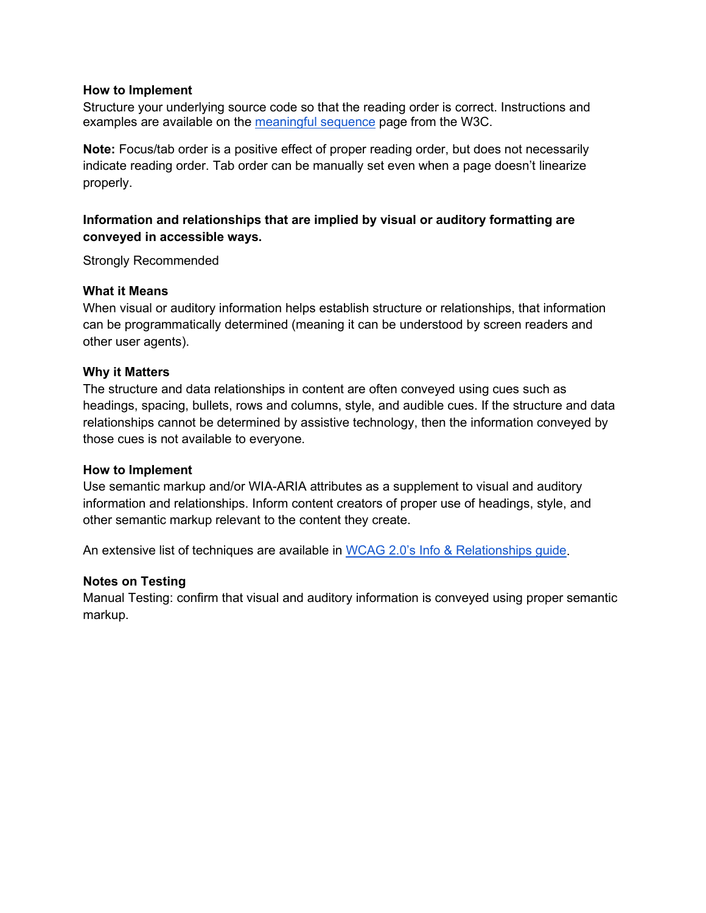#### **How to Implement**

Structure your underlying source code so that the reading order is correct. Instructions and examples are available on the [meaningful sequence](https://www.w3.org/WAI/GL/UNDERSTANDING-WCAG20/content-structure-separation-sequence.html) page from the W3C.

**Note:** Focus/tab order is a positive effect of proper reading order, but does not necessarily indicate reading order. Tab order can be manually set even when a page doesn't linearize properly.

# <span id="page-13-0"></span>**Information and relationships that are implied by visual or auditory formatting are conveyed in accessible ways.**

Strongly Recommended

#### **What it Means**

When visual or auditory information helps establish structure or relationships, that information can be programmatically determined (meaning it can be understood by screen readers and other user agents).

#### **Why it Matters**

The structure and data relationships in content are often conveyed using cues such as headings, spacing, bullets, rows and columns, style, and audible cues. If the structure and data relationships cannot be determined by assistive technology, then the information conveyed by those cues is not available to everyone.

#### **How to Implement**

Use semantic markup and/or WIA-ARIA attributes as a supplement to visual and auditory information and relationships. Inform content creators of proper use of headings, style, and other semantic markup relevant to the content they create.

An extensive list of techniques are available in [WCAG 2.0's Info & Relationships guide.](https://www.w3.org/TR/UNDERSTANDING-WCAG20/content-structure-separation-programmatic.html)

# **Notes on Testing**

Manual Testing: confirm that visual and auditory information is conveyed using proper semantic markup.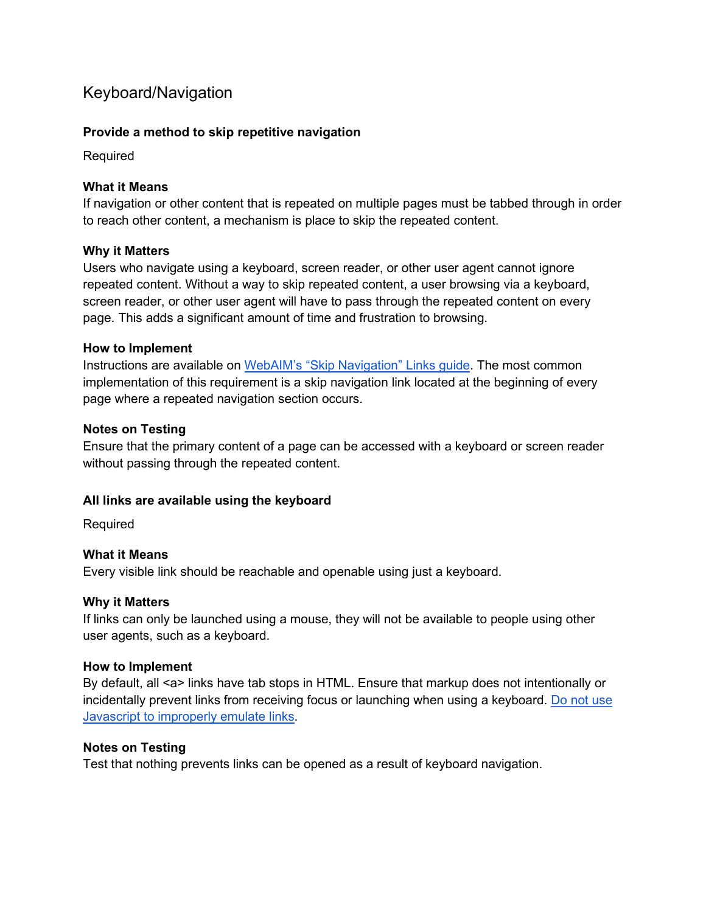# <span id="page-14-0"></span>Keyboard/Navigation

# <span id="page-14-1"></span>**Provide a method to skip repetitive navigation**

Required

# **What it Means**

If navigation or other content that is repeated on multiple pages must be tabbed through in order to reach other content, a mechanism is place to skip the repeated content.

# **Why it Matters**

Users who navigate using a keyboard, screen reader, or other user agent cannot ignore repeated content. Without a way to skip repeated content, a user browsing via a keyboard, screen reader, or other user agent will have to pass through the repeated content on every page. This adds a significant amount of time and frustration to browsing.

# **How to Implement**

Instructions are available on [WebAIM's "Skip Navigation" Links guide.](https://webaim.org/techniques/skipnav/) The most common implementation of this requirement is a skip navigation link located at the beginning of every page where a repeated navigation section occurs.

# **Notes on Testing**

Ensure that the primary content of a page can be accessed with a keyboard or screen reader without passing through the repeated content.

# <span id="page-14-2"></span>**All links are available using the keyboard**

Required

# **What it Means**

Every visible link should be reachable and openable using just a keyboard.

# **Why it Matters**

If links can only be launched using a mouse, they will not be available to people using other user agents, such as a keyboard.

# **How to Implement**

By default, all <a> links have tab stops in HTML. Ensure that markup does not intentionally or incidentally prevent links from receiving focus or launching when using a keyboard. [Do not use](https://www.w3.org/TR/2016/NOTE-WCAG20-TECHS-20161007/F42)  [Javascript to improperly emulate links.](https://www.w3.org/TR/2016/NOTE-WCAG20-TECHS-20161007/F42)

# **Notes on Testing**

Test that nothing prevents links can be opened as a result of keyboard navigation.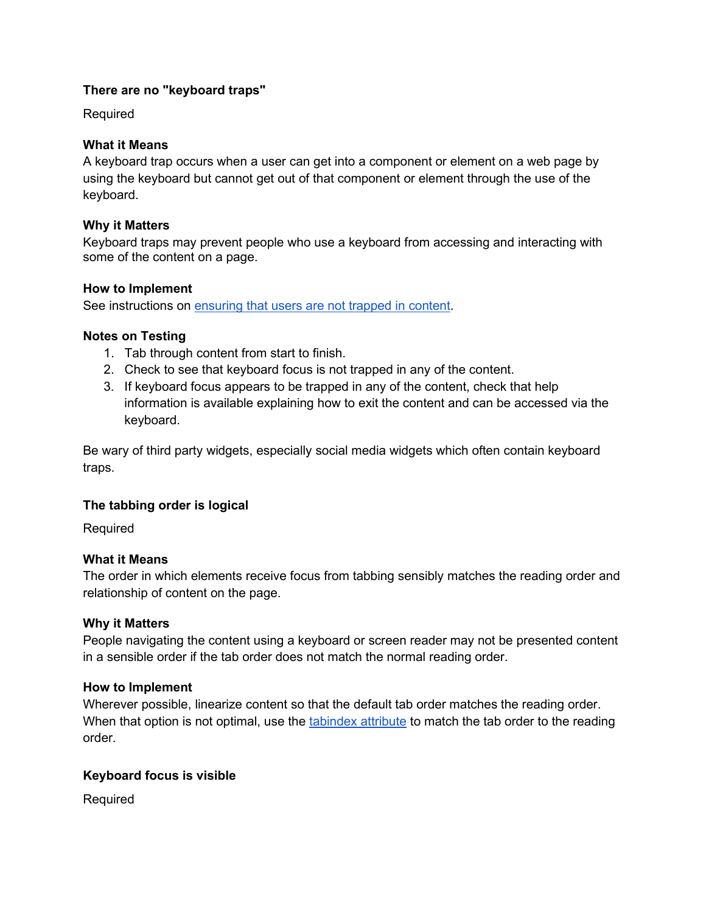# <span id="page-15-0"></span>**There are no "keyboard traps"**

Required

# **What it Means**

A keyboard trap occurs when a user can get into a component or element on a web page by using the keyboard but cannot get out of that component or element through the use of the keyboard.

# **Why it Matters**

Keyboard traps may prevent people who use a keyboard from accessing and interacting with some of the content on a page.

# **How to Implement**

See instructions on [ensuring that users are not trapped in content.](https://www.w3.org/TR/2016/NOTE-WCAG20-TECHS-20161007/G21)

# **Notes on Testing**

- 1. Tab through content from start to finish.
- 2. Check to see that keyboard focus is not trapped in any of the content.
- 3. If keyboard focus appears to be trapped in any of the content, check that help information is available explaining how to exit the content and can be accessed via the keyboard.

Be wary of third party widgets, especially social media widgets which often contain keyboard traps.

# <span id="page-15-1"></span>**The tabbing order is logical**

Required

# **What it Means**

The order in which elements receive focus from tabbing sensibly matches the reading order and relationship of content on the page.

# **Why it Matters**

People navigating the content using a keyboard or screen reader may not be presented content in a sensible order if the tab order does not match the normal reading order.

# **How to Implement**

Wherever possible, linearize content so that the default tab order matches the reading order. When that option is not optimal, use the [tabindex attribute](https://www.w3schools.com/tags/att_tabindex.asp) to match the tab order to the reading order.

# <span id="page-15-2"></span>**Keyboard focus is visible**

Required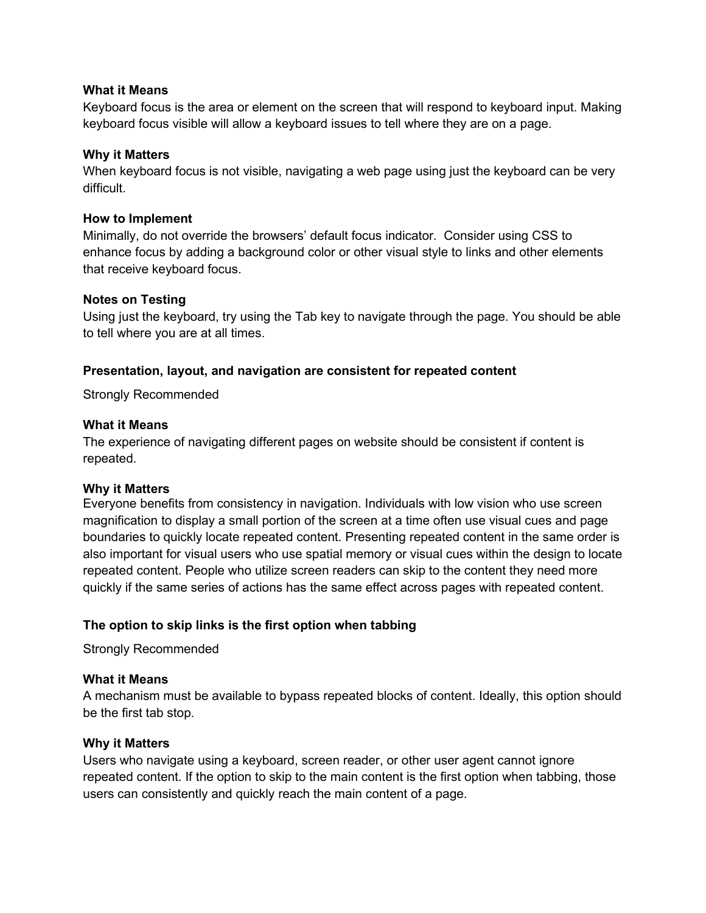### **What it Means**

Keyboard focus is the area or element on the screen that will respond to keyboard input. Making keyboard focus visible will allow a keyboard issues to tell where they are on a page.

### **Why it Matters**

When keyboard focus is not visible, navigating a web page using just the keyboard can be very difficult.

#### **How to Implement**

Minimally, do not override the browsers' default focus indicator. Consider using CSS to enhance focus by adding a background color or other visual style to links and other elements that receive keyboard focus.

#### **Notes on Testing**

Using just the keyboard, try using the Tab key to navigate through the page. You should be able to tell where you are at all times.

# <span id="page-16-0"></span>**Presentation, layout, and navigation are consistent for repeated content**

Strongly Recommended

### **What it Means**

The experience of navigating different pages on website should be consistent if content is repeated.

#### **Why it Matters**

Everyone benefits from consistency in navigation. Individuals with low vision who use screen magnification to display a small portion of the screen at a time often use visual cues and page boundaries to quickly locate repeated content. Presenting repeated content in the same order is also important for visual users who use spatial memory or visual cues within the design to locate repeated content. People who utilize screen readers can skip to the content they need more quickly if the same series of actions has the same effect across pages with repeated content.

# <span id="page-16-1"></span>**The option to skip links is the first option when tabbing**

Strongly Recommended

#### **What it Means**

A mechanism must be available to bypass repeated blocks of content. Ideally, this option should be the first tab stop.

#### **Why it Matters**

Users who navigate using a keyboard, screen reader, or other user agent cannot ignore repeated content. If the option to skip to the main content is the first option when tabbing, those users can consistently and quickly reach the main content of a page.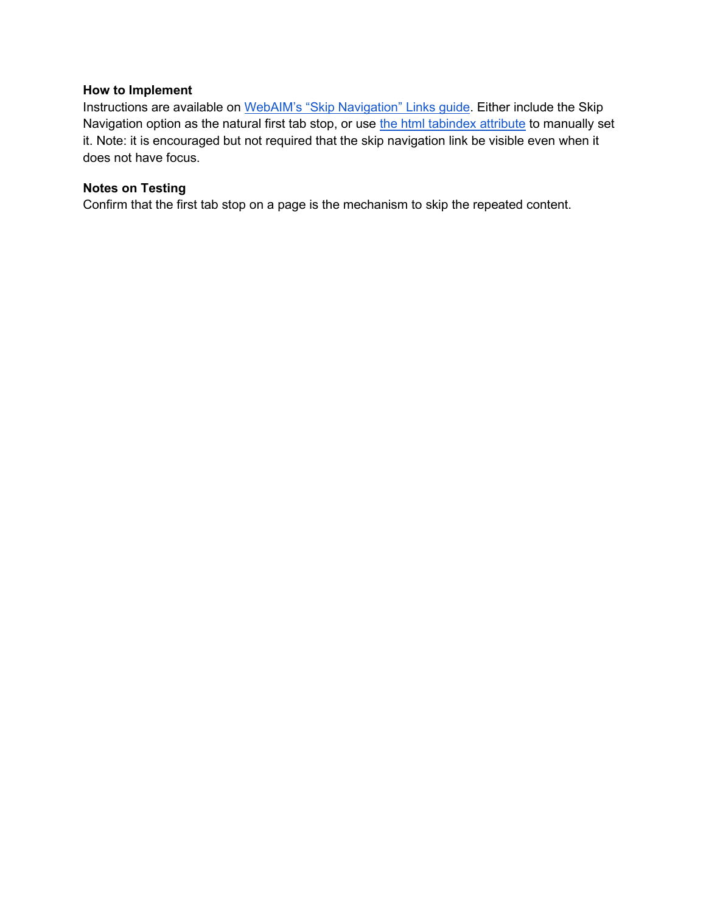### **How to Implement**

Instructions are available on [WebAIM's "Skip Navigation" Links guide.](https://webaim.org/techniques/skipnav/) Either include the Skip Navigation option as the natural first tab stop, or use [the html tabindex attribute](https://www.w3schools.com/tags/att_global_tabindex.asp) to manually set it. Note: it is encouraged but not required that the skip navigation link be visible even when it does not have focus.

# **Notes on Testing**

Confirm that the first tab stop on a page is the mechanism to skip the repeated content.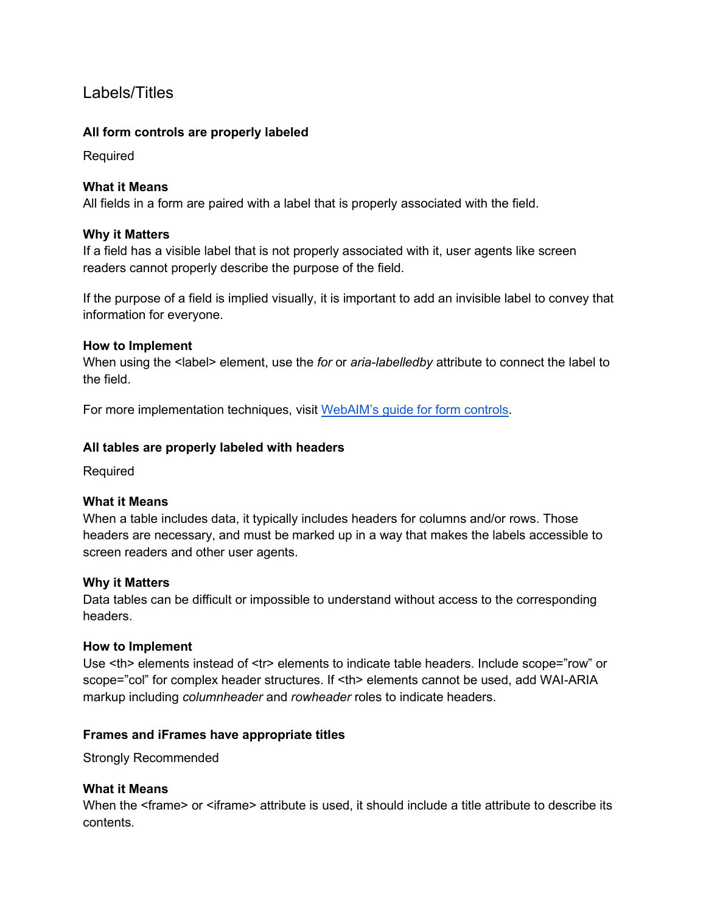# <span id="page-18-0"></span>Labels/Titles

# <span id="page-18-1"></span>**All form controls are properly labeled**

Required

# **What it Means**

All fields in a form are paired with a label that is properly associated with the field.

# **Why it Matters**

If a field has a visible label that is not properly associated with it, user agents like screen readers cannot properly describe the purpose of the field.

If the purpose of a field is implied visually, it is important to add an invisible label to convey that information for everyone.

# **How to Implement**

When using the <label> element, use the *for* or *aria-labelledby* attribute to connect the label to the field.

<span id="page-18-2"></span>For more implementation techniques, visit [WebAIM's guide for form controls.](https://webaim.org/techniques/forms/controls)

# **All tables are properly labeled with headers**

**Required** 

# **What it Means**

When a table includes data, it typically includes headers for columns and/or rows. Those headers are necessary, and must be marked up in a way that makes the labels accessible to screen readers and other user agents.

# **Why it Matters**

Data tables can be difficult or impossible to understand without access to the corresponding headers.

# **How to Implement**

Use <th> elements instead of <tr> elements to indicate table headers. Include scope="row" or scope="col" for complex header structures. If <th> elements cannot be used, add WAI-ARIA markup including *columnheader* and *rowheader* roles to indicate headers.

# <span id="page-18-3"></span>**Frames and iFrames have appropriate titles**

Strongly Recommended

# **What it Means**

When the <frame> or <iframe> attribute is used, it should include a title attribute to describe its contents.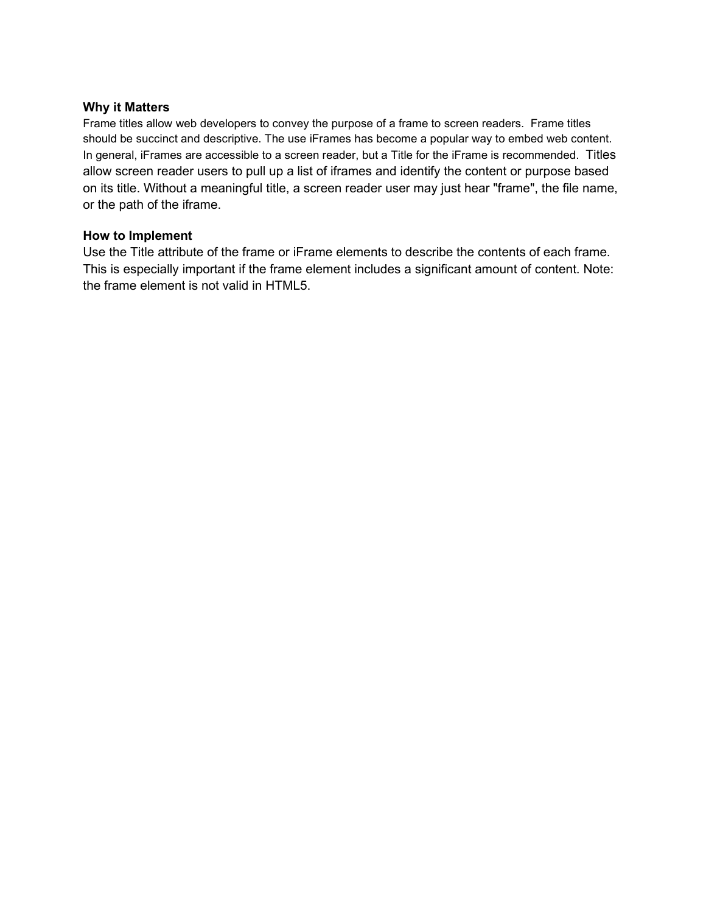#### **Why it Matters**

Frame titles allow web developers to convey the purpose of a frame to screen readers. Frame titles should be succinct and descriptive. The use iFrames has become a popular way to embed web content. In general, iFrames are accessible to a screen reader, but a Title for the iFrame is recommended. Titles allow screen reader users to pull up a list of iframes and identify the content or purpose based on its title. Without a meaningful title, a screen reader user may just hear "frame", the file name, or the path of the iframe.

### **How to Implement**

Use the Title attribute of the frame or iFrame elements to describe the contents of each frame. This is especially important if the frame element includes a significant amount of content. Note: the frame element is not valid in HTML5.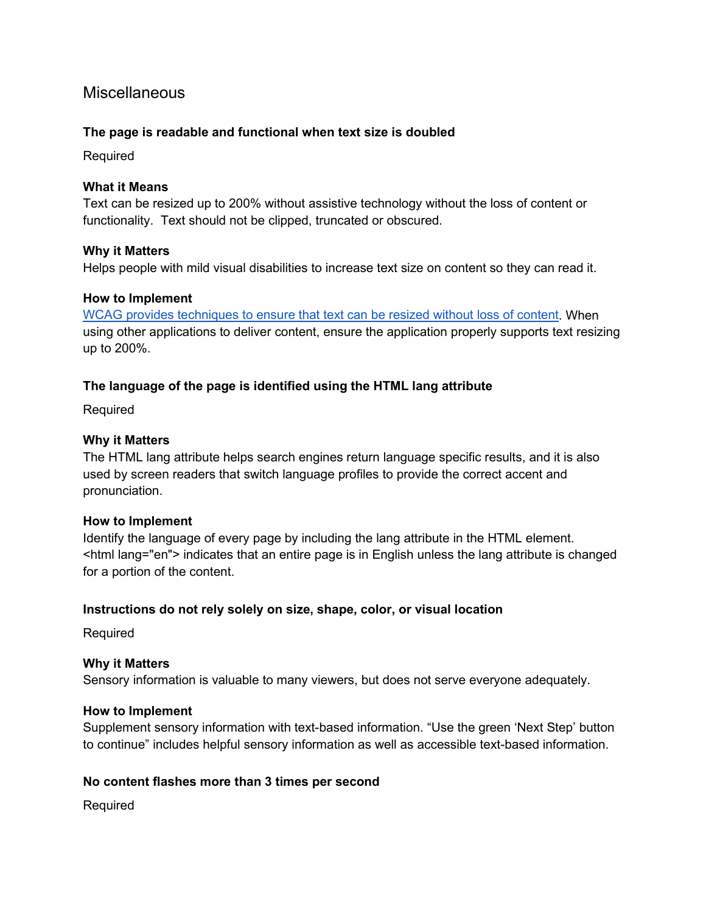# <span id="page-20-0"></span>**Miscellaneous**

# <span id="page-20-1"></span>**The page is readable and functional when text size is doubled**

Required

### **What it Means**

Text can be resized up to 200% without assistive technology without the loss of content or functionality. Text should not be clipped, truncated or obscured.

#### **Why it Matters**

Helps people with mild visual disabilities to increase text size on content so they can read it.

#### **How to Implement**

[WCAG provides techniques to ensure that text can be resized without loss of content.](https://www.w3.org/TR/2016/NOTE-WCAG20-TECHS-20161007/G179) When using other applications to deliver content, ensure the application properly supports text resizing up to 200%.

# <span id="page-20-2"></span>**The language of the page is identified using the HTML lang attribute**

Required

#### **Why it Matters**

The HTML lang attribute helps search engines return language specific results, and it is also used by screen readers that switch language profiles to provide the correct accent and pronunciation.

#### **How to Implement**

Identify the language of every page by including the lang attribute in the HTML element. <html lang="en"> indicates that an entire page is in English unless the lang attribute is changed for a portion of the content.

# <span id="page-20-3"></span>**Instructions do not rely solely on size, shape, color, or visual location**

Required

# **Why it Matters**

Sensory information is valuable to many viewers, but does not serve everyone adequately.

# **How to Implement**

Supplement sensory information with text-based information. "Use the green 'Next Step' button to continue" includes helpful sensory information as well as accessible text-based information.

# <span id="page-20-4"></span>**No content flashes more than 3 times per second**

Required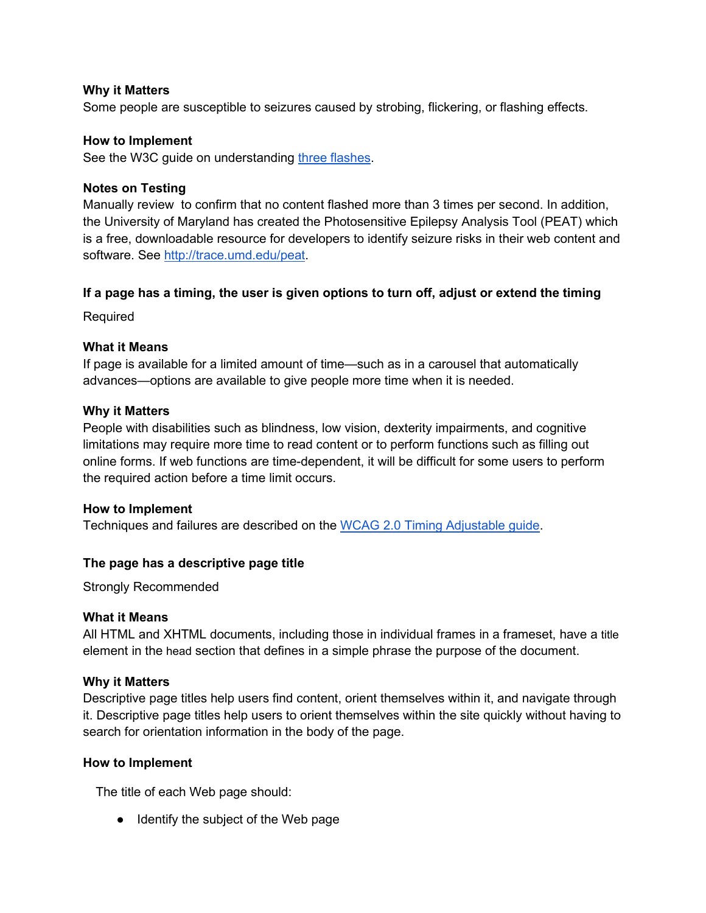### **Why it Matters**

Some people are susceptible to seizures caused by strobing, flickering, or flashing effects.

#### **How to Implement**

See the W3C quide on understanding [three flashes.](https://www.w3.org/TR/UNDERSTANDING-WCAG20/seizure-three-times.html)

### **Notes on Testing**

Manually review to confirm that no content flashed more than 3 times per second. In addition, the University of Maryland has created the Photosensitive Epilepsy Analysis Tool (PEAT) which is a free, downloadable resource for developers to identify seizure risks in their web content and software. See [http://trace.umd.edu/peat.](http://trace.umd.edu/peat)

#### <span id="page-21-0"></span>**If a page has a timing, the user is given options to turn off, adjust or extend the timing**

Required

#### **What it Means**

If page is available for a limited amount of time—such as in a carousel that automatically advances—options are available to give people more time when it is needed.

#### **Why it Matters**

People with disabilities such as blindness, low vision, dexterity impairments, and cognitive limitations may require more time to read content or to perform functions such as filling out online forms. If web functions are time-dependent, it will be difficult for some users to perform the required action before a time limit occurs.

#### **How to Implement**

<span id="page-21-1"></span>Techniques and failures are described on the [WCAG 2.0 Timing Adjustable guide.](https://www.w3.org/TR/UNDERSTANDING-WCAG20/time-limits-required-behaviors.html)

# **The page has a descriptive page title**

Strongly Recommended

#### **What it Means**

All HTML and XHTML documents, including those in individual frames in a frameset, have a title element in the head section that defines in a simple phrase the purpose of the document.

#### **Why it Matters**

Descriptive page titles help users find content, orient themselves within it, and navigate through it. Descriptive page titles help users to orient themselves within the site quickly without having to search for orientation information in the body of the page.

#### **How to Implement**

The title of each Web page should:

● Identify the subject of the Web page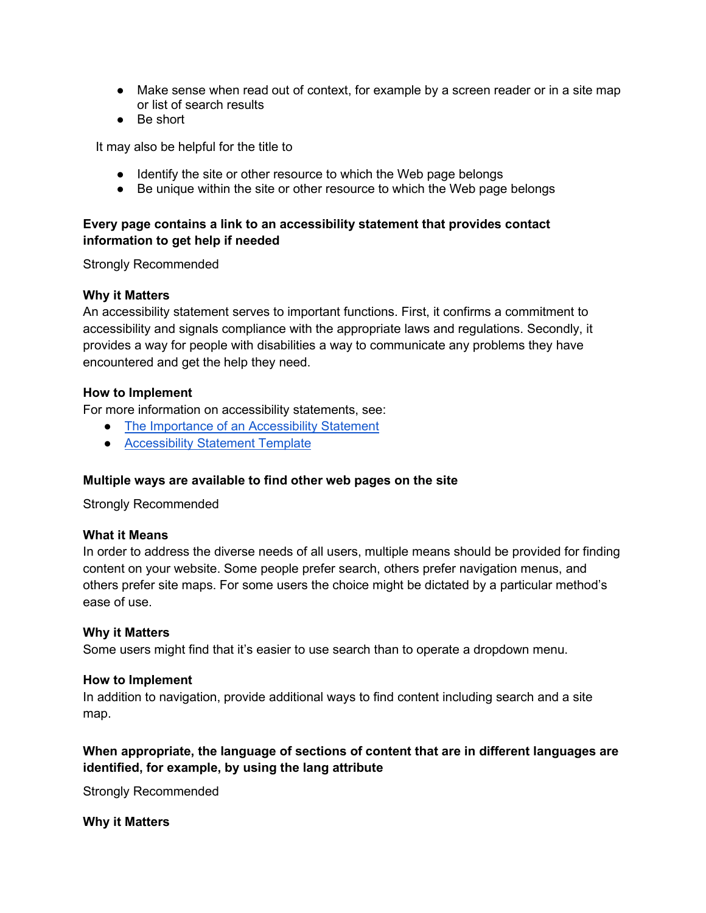- Make sense when read out of context, for example by a screen reader or in a site map or list of search results
- Be short

It may also be helpful for the title to

- Identify the site or other resource to which the Web page belongs
- Be unique within the site or other resource to which the Web page belongs

# <span id="page-22-0"></span>**Every page contains a link to an accessibility statement that provides contact information to get help if needed**

Strongly Recommended

# **Why it Matters**

An accessibility statement serves to important functions. First, it confirms a commitment to accessibility and signals compliance with the appropriate laws and regulations. Secondly, it provides a way for people with disabilities a way to communicate any problems they have encountered and get the help they need.

#### **How to Implement**

For more information on accessibility statements, see:

- [The Importance of an Accessibility Statement](https://www.essentialaccessibility.com/blog/accessibility-statement/)
- [Accessibility Statement Template](http://nda.ie/Resources/Accessibility-toolkit/Accessibility-Statement-Template/)

#### <span id="page-22-1"></span>**Multiple ways are available to find other web pages on the site**

Strongly Recommended

#### **What it Means**

In order to address the diverse needs of all users, multiple means should be provided for finding content on your website. Some people prefer search, others prefer navigation menus, and others prefer site maps. For some users the choice might be dictated by a particular method's ease of use.

#### **Why it Matters**

Some users might find that it's easier to use search than to operate a dropdown menu.

#### **How to Implement**

In addition to navigation, provide additional ways to find content including search and a site map.

# <span id="page-22-2"></span>**When appropriate, the language of sections of content that are in different languages are identified, for example, by using the lang attribute**

Strongly Recommended

# **Why it Matters**